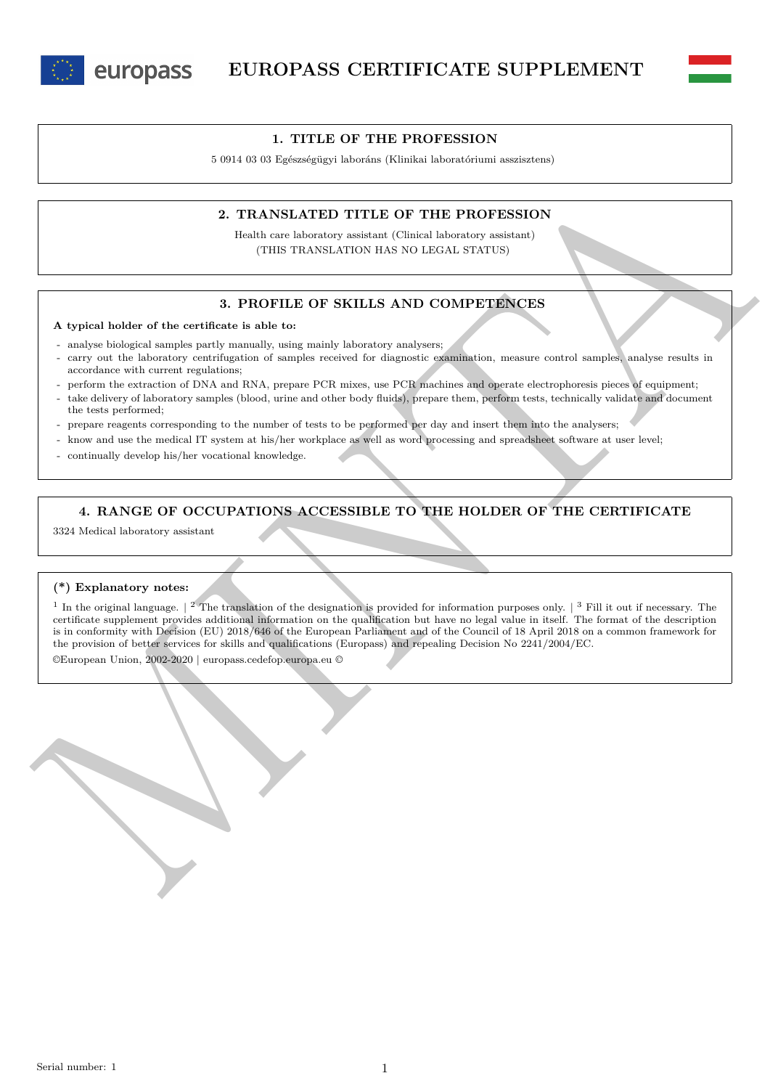



#### **1. TITLE OF THE PROFESSION**

5 0914 03 03 Egészségügyi laboráns (Klinikai laboratóriumi asszisztens)

## **2. TRANSLATED TITLE OF THE PROFESSION**

Health care laboratory assistant (Clinical laboratory assistant) (THIS TRANSLATION HAS NO LEGAL STATUS)

## **3. PROFILE OF SKILLS AND COMPETENCES**

#### **A typical holder of the certificate is able to:**

- analyse biological samples partly manually, using mainly laboratory analysers;
- carry out the laboratory centrifugation of samples received for diagnostic examination, measure control samples, analyse results in accordance with current regulations;
- perform the extraction of DNA and RNA, prepare PCR mixes, use PCR machines and operate electrophoresis pieces of equipment;
- take delivery of laboratory samples (blood, urine and other body fluids), prepare them, perform tests, technically validate and document the tests performed;
- prepare reagents corresponding to the number of tests to be performed per day and insert them into the analysers;
- know and use the medical IT system at his/her workplace as well as word processing and spreadsheet software at user level;
- continually develop his/her vocational knowledge.

## **4. RANGE OF OCCUPATIONS ACCESSIBLE TO THE HOLDER OF THE CERTIFICATE**

3324 Medical laboratory assistant

#### **(\*) Explanatory notes:**

2. **TRANSLATED TITLE OF THE PROFESSION**<br>
Harbourge Weiser of NELLS AND COMPRESSION<br>
(THIS TRANSLATED TITLE OF THE PROFESSION<br>
(THIS TRANSLATED TRIS TRANSLATED TITLE OF THE PROFESSION)<br>
3. **PROFILE OF SKILLS** AND COMPREENC <sup>1</sup> In the original language.  $\vert$  <sup>2</sup> The translation of the designation is provided for information purposes only.  $\vert$  <sup>3</sup> Fill it out if necessary. The certificate supplement provides additional information on the qualification but have no legal value in itself. The format of the description is in conformity with Decision (EU) 2018/646 of the European Parliament and of the Council of 18 April 2018 on a common framework for the provision of better services for skills and qualifications (Europass) and repealing Decision No 2241/2004/EC.

©European Union, 2002-2020 | europass.cedefop.europa.eu ©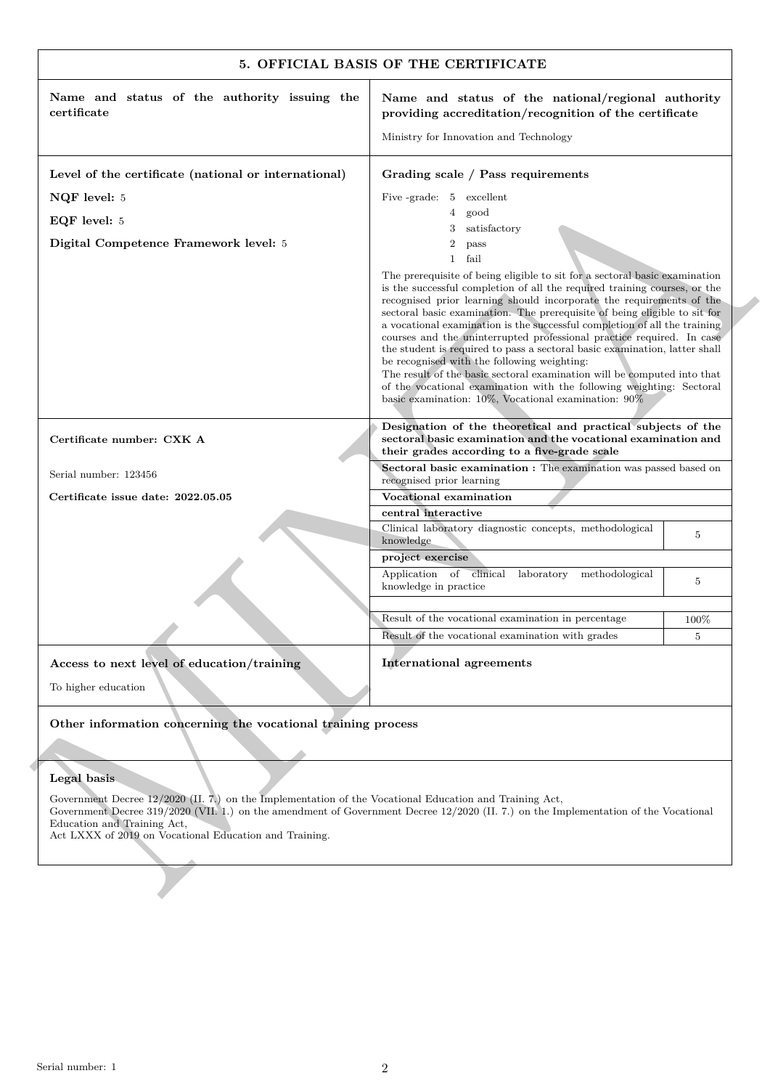| Name and status of the authority issuing the<br>certificate                                                                                                                                     | Name and status of the national/regional authority<br>providing accreditation/recognition of the certificate                                                                                                                                                                                                                                                                                                                                                                                                                                                                                                                                                                                                                                                                                                     |                |
|-------------------------------------------------------------------------------------------------------------------------------------------------------------------------------------------------|------------------------------------------------------------------------------------------------------------------------------------------------------------------------------------------------------------------------------------------------------------------------------------------------------------------------------------------------------------------------------------------------------------------------------------------------------------------------------------------------------------------------------------------------------------------------------------------------------------------------------------------------------------------------------------------------------------------------------------------------------------------------------------------------------------------|----------------|
|                                                                                                                                                                                                 | Ministry for Innovation and Technology                                                                                                                                                                                                                                                                                                                                                                                                                                                                                                                                                                                                                                                                                                                                                                           |                |
| Level of the certificate (national or international)                                                                                                                                            | Grading scale / Pass requirements                                                                                                                                                                                                                                                                                                                                                                                                                                                                                                                                                                                                                                                                                                                                                                                |                |
| NQF level: 5                                                                                                                                                                                    | Five -grade: 5 excellent                                                                                                                                                                                                                                                                                                                                                                                                                                                                                                                                                                                                                                                                                                                                                                                         |                |
| EQF level: 5                                                                                                                                                                                    | good<br>4                                                                                                                                                                                                                                                                                                                                                                                                                                                                                                                                                                                                                                                                                                                                                                                                        |                |
| Digital Competence Framework level: 5                                                                                                                                                           | satisfactory<br>3<br>$\overline{2}$<br>pass                                                                                                                                                                                                                                                                                                                                                                                                                                                                                                                                                                                                                                                                                                                                                                      |                |
|                                                                                                                                                                                                 | $\mathbf{1}$<br>fail                                                                                                                                                                                                                                                                                                                                                                                                                                                                                                                                                                                                                                                                                                                                                                                             |                |
|                                                                                                                                                                                                 | The prerequisite of being eligible to sit for a sectoral basic examination<br>is the successful completion of all the required training courses, or the<br>recognised prior learning should incorporate the requirements of the<br>sectoral basic examination. The prerequisite of being eligible to sit for<br>a vocational examination is the successful completion of all the training<br>courses and the uninterrupted professional practice required. In case<br>the student is required to pass a sectoral basic examination, latter shall<br>be recognised with the following weighting:<br>The result of the basic sectoral examination will be computed into that<br>of the vocational examination with the following weighting: Sectoral<br>basic examination: $10\%$ , Vocational examination: $90\%$ |                |
| Certificate number: CXK A                                                                                                                                                                       | Designation of the theoretical and practical subjects of the<br>sectoral basic examination and the vocational examination and<br>their grades according to a five-grade scale                                                                                                                                                                                                                                                                                                                                                                                                                                                                                                                                                                                                                                    |                |
| Serial number: 123456                                                                                                                                                                           | Sectoral basic examination : The examination was passed based on<br>recognised prior learning                                                                                                                                                                                                                                                                                                                                                                                                                                                                                                                                                                                                                                                                                                                    |                |
| Certificate issue date: 2022.05.05                                                                                                                                                              | Vocational examination                                                                                                                                                                                                                                                                                                                                                                                                                                                                                                                                                                                                                                                                                                                                                                                           |                |
|                                                                                                                                                                                                 | central interactive                                                                                                                                                                                                                                                                                                                                                                                                                                                                                                                                                                                                                                                                                                                                                                                              |                |
|                                                                                                                                                                                                 | Clinical laboratory diagnostic concepts, methodological<br>knowledge                                                                                                                                                                                                                                                                                                                                                                                                                                                                                                                                                                                                                                                                                                                                             | 5              |
|                                                                                                                                                                                                 | project exercise                                                                                                                                                                                                                                                                                                                                                                                                                                                                                                                                                                                                                                                                                                                                                                                                 |                |
|                                                                                                                                                                                                 | Application of clinical laboratory methodological<br>knowledge in practice                                                                                                                                                                                                                                                                                                                                                                                                                                                                                                                                                                                                                                                                                                                                       | 5              |
|                                                                                                                                                                                                 | Result of the vocational examination in percentage                                                                                                                                                                                                                                                                                                                                                                                                                                                                                                                                                                                                                                                                                                                                                               | 100\%          |
|                                                                                                                                                                                                 | Result of the vocational examination with grades                                                                                                                                                                                                                                                                                                                                                                                                                                                                                                                                                                                                                                                                                                                                                                 | $\overline{5}$ |
| Access to next level of education/training<br>To higher education                                                                                                                               | <b>International agreements</b>                                                                                                                                                                                                                                                                                                                                                                                                                                                                                                                                                                                                                                                                                                                                                                                  |                |
| Other information concerning the vocational training process                                                                                                                                    |                                                                                                                                                                                                                                                                                                                                                                                                                                                                                                                                                                                                                                                                                                                                                                                                                  |                |
|                                                                                                                                                                                                 |                                                                                                                                                                                                                                                                                                                                                                                                                                                                                                                                                                                                                                                                                                                                                                                                                  |                |
| Legal basis                                                                                                                                                                                     |                                                                                                                                                                                                                                                                                                                                                                                                                                                                                                                                                                                                                                                                                                                                                                                                                  |                |
| Government Decree 12/2020 (II. 7.) on the Implementation of the Vocational Education and Training Act,<br>Education and Training Act,<br>Act LXXX of 2019 on Vocational Education and Training. | Government Decree 319/2020 (VII. 1.) on the amendment of Government Decree 12/2020 (II. 7.) on the Implementation of the Vocational                                                                                                                                                                                                                                                                                                                                                                                                                                                                                                                                                                                                                                                                              |                |
|                                                                                                                                                                                                 |                                                                                                                                                                                                                                                                                                                                                                                                                                                                                                                                                                                                                                                                                                                                                                                                                  |                |

# **Legal basis**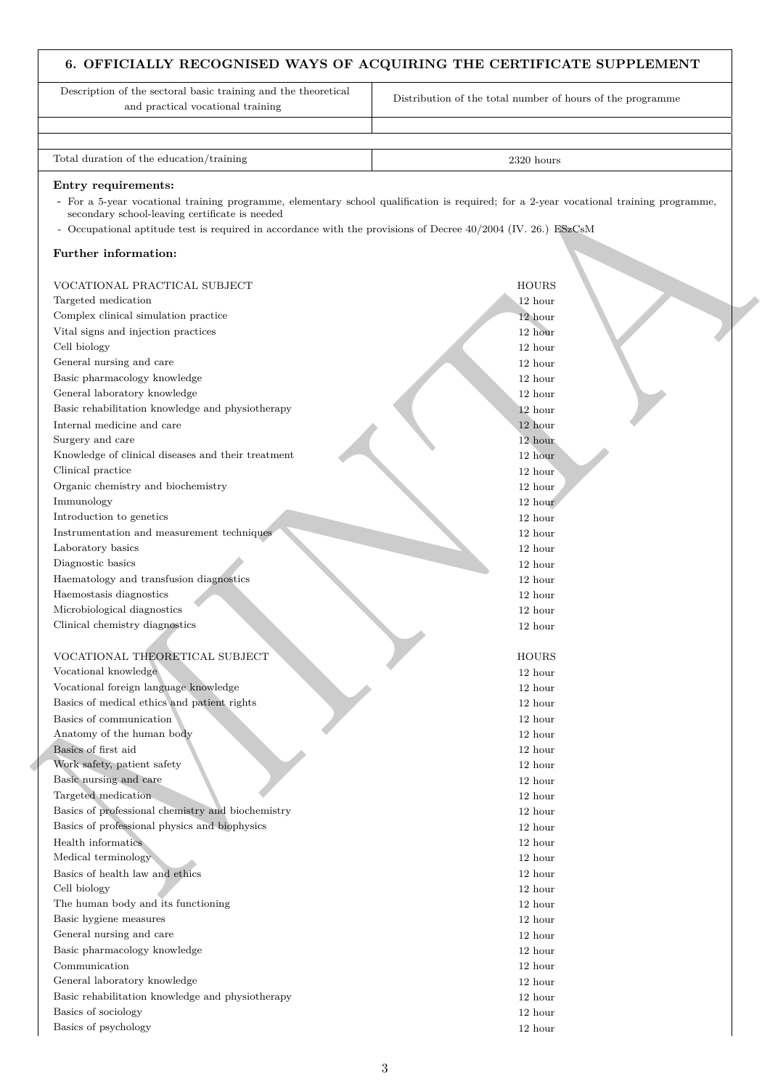# **6. OFFICIALLY RECOGNISED WAYS OF ACQUIRING THE CERTIFICATE SUPPLEMENT**

Endry recent<br>  $\alpha$  comparison (and the property change of the system, denotedly which qualification is equived, for a 2-year velocited<br>  $\alpha$  comparison (and the system) of the system of the system of Decree 10/2014 (N=3) Description of the sectoral basic training and the theoretical and practical vocational training Distribution of the total number of hours of the programme Total duration of the education/training 2320 hours 2320 hours 2320 hours 2320 hours 2320 hours 2320 hours 2320 hours 2320 hours 2320 hours 2320 hours 2320 hours 2320 hours 2320 hours 2320 hours 2320 hours 2320 hours 2320 **Entry requirements:** - For a 5-year vocational training programme, elementary school qualification is required; for a 2-year vocational training programme, secondary school-leaving certificate is needed - Occupational aptitude test is required in accordance with the provisions of Decree 40/2004 (IV. 26.) ESzCsM **Further information:** VOCATIONAL PRACTICAL SUBJECT **HOURS** Targeted medication 12 hours and 12 hours and 12 hours and 12 hours and 12 hours and 12 hours and 12 hours and 12 hours and 12 hours and 12 hours and 12 hours and 12 hours and 12 hours and 12 hours and 12 hours and 12 hour Complex clinical simulation practice 12 hours and 12 hours and 12 hours and 12 hours and 12 hours and 12 hours and 12 hours and 12 hours and 12 hours and 12 hours and 12 hours and 12 hours and 12 hours and 12 hours and 12 Vital signs and injection practices 12 hours and 12 hours and 12 hours and 12 hours and 12 hours and 12 hours and 12 hours and 12 hours and 12 hours and 12 hours and 12 hours and 12 hours and 12 hours and 12 hours and 12 h Cell biology 12 hour General nursing and care 12 hours and care 12 hours and care 12 hours and care 12 hours and care 12 hours and care 12 hours and care 12 hours and care 12 hours and care 12 hours and care 12 hours and care 12 hours and care Basic pharmacology knowledge 12 hours and 12 hours and 12 hours and 12 hours and 12 hours and 12 hours and 12 hours and 12 hours and 12 hours and 12 hours and 12 hours and 12 hours and 12 hours and 12 hours and 12 hours an General laboratory knowledge 12 hours and 12 hours and 12 hours and 12 hours and 12 hours and 12 hours and 12 hours and 12 hours and 12 hours and 12 hours and 12 hours and 12 hours and 12 hours and 12 hours and 12 hours an Basic rehabilitation knowledge and physiotherapy 12 hours 12 hours 12 hours 12 hours 12 hours 12 hours 12 hours 12 hours 12 hours 12 hours 12 hours 12 hours 12 hours 12 hours 12 hours 12 hours 12 hours 12 hours 12 hours 12 Internal medicine and care 12 hours and 12 hours and 12 hours and 12 hours and 12 hours and 12 hours and 12 hours and 12 hours and 12 hours and 12 hours and 12 hours and 12 hours and 12 hours and 12 hours and 12 hours and Surgery and care 12 hour and 12 hour and 12 hour and 12 hour and 12 hour and 12 hour and 12 hour and 12 hour and 12 hour and 12 hour and 12 hour and 12 hour and 12 hour and 12 hour and 12 hour and 12 hour and 12 hour and 1 Knowledge of clinical diseases and their treatment 12 hour 12 hour 12 hour Clinical practice 12 hours and 12 hours and 12 hours and 12 hours and 12 hours and 12 hours and 12 hours and 12 hours and 12 hours and 12 hours and 12 hours and 12 hours and 12 hours and 12 hours and 12 hours and 12 hours Organic chemistry and biochemistry 12 hour Immunology 12 hour Introduction to genetics 12 hour Instrumentation and measurement techniques 12 hour Laboratory basics 12 hour contracts to the contract of the contract of the contract of the contract of the contract of the contract of the contract of the contract of the contract of the contract of the contract of the con Diagnostic basics 12 hour Haematology and transfusion diagnostics 12 hour Haemostasis diagnostics 12 hour Microbiological diagnostics 12 hours and 12 hours and 12 hours and 12 hours and 12 hours and 12 hours and 12 hours and 12 hours and 12 hours and 12 hours and 12 hours and 12 hours and 12 hours and 12 hours and 12 hours and Clinical chemistry diagnostics 12 hour VOCATIONAL THEORETICAL SUBJECT HOURS HOURS HOURS Vocational knowledge 12 hour Vocational foreign language knowledge 12 hour Basics of medical ethics and patient rights 12 hour 12 hours 12 hours 12 hours 12 hours 12 hours 12 hours 12 hours 12 hours 12 hours 12 hours 12 hours 12 hours 12 hours 12 hours 12 hours 12 hours 12 hours 12 hours 12 hours Basics of communication 12 hours and 12 hours and 12 hours and 12 hours and 12 hours and 12 hours and 12 hours and 12 hours and 12 hours and 12 hours and 12 hours and 12 hours and 12 hours and 12 hours and 12 hours and 12 Anatomy of the human body 12 hours and 12 hours and 12 hours and 12 hours and 12 hours and 12 hours and 12 hours and 12 hours and 12 hours and 12 hours and 12 hours and 12 hours and 12 hours and 12 hours and 12 hours and 1 Basics of first aid 12 hours and 12 hours and 12 hours and 12 hours and 12 hours and 12 hours and 12 hours and 12 hours and 12 hours and 12 hours and 12 hours and 12 hours and 12 hours and 12 hours and 12 hours and 12 hour Work safety, patient safety 12 hours and 12 hours and 12 hours and 12 hours and 12 hours and 12 hours and 12 hours and 12 hours and 12 hours and 12 hours and 12 hours and 12 hours and 12 hours and 12 hours and 12 hours and Basic nursing and care 12 hours and 12 hours and 12 hours and 12 hours and 12 hours and 12 hours and 12 hours and 12 hours and 12 hours and 12 hours and 12 hours and 12 hours and 12 hours and 12 hours and 12 hours and 12 h Targeted medication 12 hours and 12 hours and 12 hours and 12 hours and 12 hours and 12 hours and 12 hours and 12 hours and 12 hours and 12 hours and 12 hours and 12 hours and 12 hours and 12 hours and 12 hours and 12 hour Basics of professional chemistry and biochemistry 12 hour Basics of professional physics and biophysics 12 hours and  $\frac{12}{12}$  hours and  $\frac{12}{12}$  hours and  $\frac{12}{12}$  hours and  $\frac{12}{12}$  hours and  $\frac{12}{12}$  hours and  $\frac{12}{12}$  hours and  $\frac{12}{12}$  hours and  $\frac{12}{12$ Health informatics 12 hour Medical terminology 12 hours and 12 hours and 12 hours and 12 hours and 12 hours and 12 hours and 12 hours and 12 hours and 12 hours and 12 hours and 12 hours and 12 hours and 12 hours and 12 hours and 12 hours and 12 hour Basics of health law and ethics 12 hours and  $\frac{12}{2}$  hours and  $\frac{12}{2}$  hours and  $\frac{12}{2}$  hours and  $\frac{12}{2}$  hours and  $\frac{12}{2}$  hours and  $\frac{12}{2}$  hours and  $\frac{12}{2}$  hours and  $\frac{12}{2}$  hours and  $\frac{12}{2}$ Cell biology 12 hour The human body and its functioning 12 hour 12 hour Basic hygiene measures 12 hour General nursing and care 12 hours and the 12 hours of 12 hours and the 12 hours of 12 hours and the 12 hours of 12 hours of 12 hours and the 12 hours of 12 hours of 12 hours of 12 hours of 12 hours of 12 hours of 12 hours Basic pharmacology knowledge 12 hour 12 hour Communication 12 hours and 12 hours and 12 hours and 12 hours are the set of the set of the set of the set of the set of the set of the set of the set of the set of the set of the set of the set of the set of the set of th General laboratory knowledge 12 hours and 12 hours and 12 hours and 12 hours and 12 hours and 12 hours and 12 hours and 12 hours and 12 hours and 12 hours and 12 hours and 12 hours and 12 hours and 12 hours and 12 hours an

Basic rehabilitation knowledge and physiotherapy 12 hours 12 hours 12 hours 12 hours 12 hours 12 hours 12 hours 12 hours 12 hours 12 hours 12 hours 12 hours 12 hours 12 hours 12 hours 12 hours 12 hours 12 hours 12 hours 12 Basics of sociology 12 hours and 12 hours and 12 hours and 12 hours and 12 hours and 12 hours and 12 hours and 12 hours and 12 hours and 12 hours and 12 hours and 12 hours and 12 hours and 12 hours and 12 hours and 12 hour Basics of psychology 12 hours and 12 hours and 12 hours and 12 hours and 12 hours and 12 hours and 12 hours and 12 hours and 12 hours and 12 hours and 12 hours and 12 hours and 12 hours and 12 hours and 12 hours and 12 hou